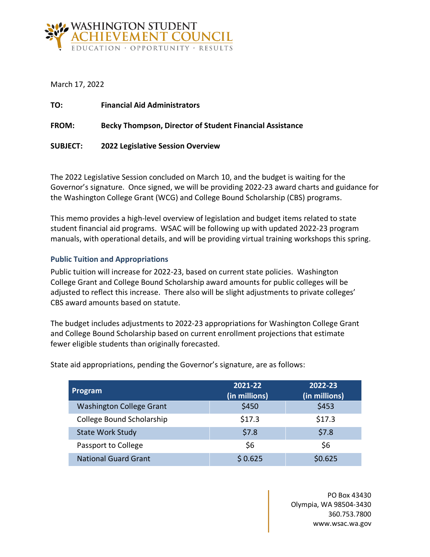

March 17, 2022

| TO:             | <b>Financial Aid Administrators</b>                             |
|-----------------|-----------------------------------------------------------------|
| <b>FROM:</b>    | <b>Becky Thompson, Director of Student Financial Assistance</b> |
| <b>SUBJECT:</b> | 2022 Legislative Session Overview                               |

The 2022 Legislative Session concluded on March 10, and the budget is waiting for the Governor's signature. Once signed, we will be providing 2022-23 award charts and guidance for the Washington College Grant (WCG) and College Bound Scholarship (CBS) programs.

This memo provides a high-level overview of legislation and budget items related to state student financial aid programs. WSAC will be following up with updated 2022-23 program manuals, with operational details, and will be providing virtual training workshops this spring.

# **Public Tuition and Appropriations**

Public tuition will increase for 2022-23, based on current state policies. Washington College Grant and College Bound Scholarship award amounts for public colleges will be adjusted to reflect this increase. There also will be slight adjustments to private colleges' CBS award amounts based on statute.

The budget includes adjustments to 2022-23 appropriations for Washington College Grant and College Bound Scholarship based on current enrollment projections that estimate fewer eligible students than originally forecasted.

| Program                         | 2021-22<br>(in millions) | 2022-23<br>(in millions) |
|---------------------------------|--------------------------|--------------------------|
| <b>Washington College Grant</b> | \$450                    | \$453                    |
| College Bound Scholarship       | \$17.3                   | \$17.3                   |
| <b>State Work Study</b>         | \$7.8                    | \$7.8                    |
| Passport to College             | \$6                      | \$6                      |
| <b>National Guard Grant</b>     | \$0.625                  | \$0.625                  |

State aid appropriations, pending the Governor's signature, are as follows:

PO Box 43430 Olympia, WA 98504-3430 360.753.7800 www.wsac.wa.gov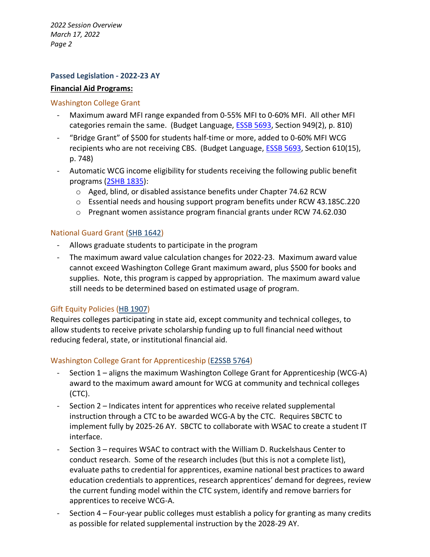*2022 Session Overview March 17, 2022 Page 2*

### **Passed Legislation - 2022-23 AY**

#### **Financial Aid Programs:**

#### Washington College Grant

- Maximum award MFI range expanded from 0-55% MFI to 0-60% MFI. All other MFI categories remain the same. (Budget Language, [ESSB 5693,](https://app.leg.wa.gov/billsummary?BillNumber=5693&Year=2021&Initiative=False) Section 949(2), p. 810)
- "Bridge Grant" of \$500 for students half-time or more, added to 0-60% MFI WCG recipients who are not receiving CBS. (Budget Language, **ESSB 5693**, Section 610(15), p. 748)
- Automatic WCG income eligibility for students receiving the following public benefit programs [\(2SHB 1835\)](https://app.leg.wa.gov/billsummary?BillNumber=1835&Initiative=false&Year=2021):
	- o Aged, blind, or disabled assistance benefits under Chapter 74.62 RCW
	- $\circ$  Essential needs and housing support program benefits under RCW 43.185C.220
	- $\circ$  Pregnant women assistance program financial grants under RCW 74.62.030

#### National Guard Grant [\(SHB 1642\)](https://app.leg.wa.gov/billsummary?BillNumber=1642&Chamber=House&Year=2021)

- Allows graduate students to participate in the program
- The maximum award value calculation changes for 2022-23. Maximum award value cannot exceed Washington College Grant maximum award, plus \$500 for books and supplies. Note, this program is capped by appropriation. The maximum award value still needs to be determined based on estimated usage of program.

#### Gift Equity Policies [\(HB 1907\)](https://app.leg.wa.gov/billsummary?BillNumber=1907&Initiative=false&Year=2021)

Requires colleges participating in state aid, except community and technical colleges, to allow students to receive private scholarship funding up to full financial need without reducing federal, state, or institutional financial aid.

#### Washington College Grant for Apprenticeship [\(E2SSB 5764\)](https://app.leg.wa.gov/billsummary?BillNumber=5764&Initiative=false&Year=2021)

- Section 1 aligns the maximum Washington College Grant for Apprenticeship (WCG-A) award to the maximum award amount for WCG at community and technical colleges (CTC).
- Section 2 Indicates intent for apprentices who receive related supplemental instruction through a CTC to be awarded WCG-A by the CTC. Requires SBCTC to implement fully by 2025-26 AY. SBCTC to collaborate with WSAC to create a student IT interface.
- Section 3 requires WSAC to contract with the William D. Ruckelshaus Center to conduct research. Some of the research includes (but this is not a complete list), evaluate paths to credential for apprentices, examine national best practices to award education credentials to apprentices, research apprentices' demand for degrees, review the current funding model within the CTC system, identify and remove barriers for apprentices to receive WCG-A.
- Section 4 Four-year public colleges must establish a policy for granting as many credits as possible for related supplemental instruction by the 2028-29 AY.